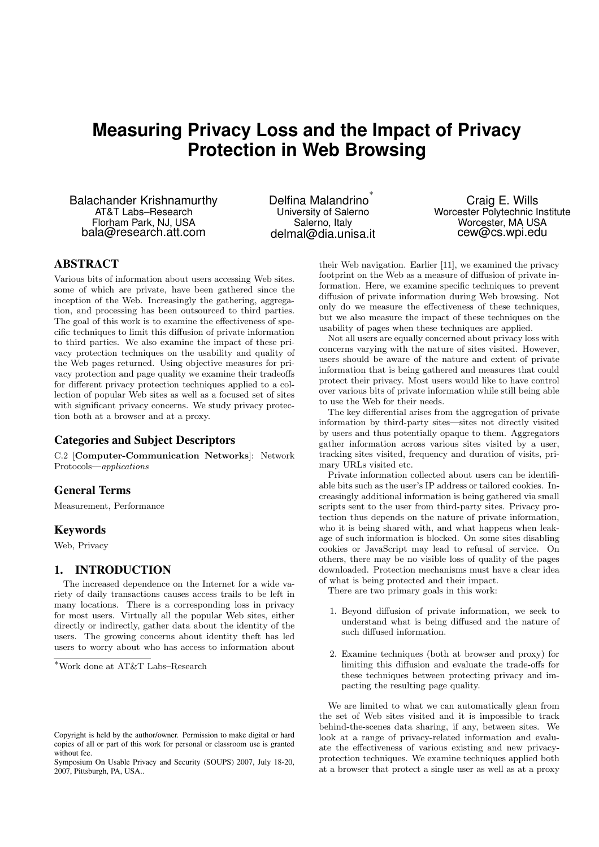# **Measuring Privacy Loss and the Impact of Privacy Protection in Web Browsing**

Balachander Krishnamurthy AT&T Labs–Research Florham Park, NJ, USA bala@research.att.com

Delfina Malandrino ∗ University of Salerno Salerno, Italy delmal@dia.unisa.it

Craig E. Wills Worcester Polytechnic Institute Worcester, MA USA cew@cs.wpi.edu

# **ABSTRACT**

Various bits of information about users accessing Web sites. some of which are private, have been gathered since the inception of the Web. Increasingly the gathering, aggregation, and processing has been outsourced to third parties. The goal of this work is to examine the effectiveness of specific techniques to limit this diffusion of private information to third parties. We also examine the impact of these privacy protection techniques on the usability and quality of the Web pages returned. Using objective measures for privacy protection and page quality we examine their tradeoffs for different privacy protection techniques applied to a collection of popular Web sites as well as a focused set of sites with significant privacy concerns. We study privacy protection both at a browser and at a proxy.

# **Categories and Subject Descriptors**

C.2 [Computer-Communication Networks]: Network Protocols—applications

# **General Terms**

Measurement, Performance

#### **Keywords**

Web, Privacy

# **1. INTRODUCTION**

The increased dependence on the Internet for a wide variety of daily transactions causes access trails to be left in many locations. There is a corresponding loss in privacy for most users. Virtually all the popular Web sites, either directly or indirectly, gather data about the identity of the users. The growing concerns about identity theft has led users to worry about who has access to information about

their Web navigation. Earlier [11], we examined the privacy footprint on the Web as a measure of diffusion of private information. Here, we examine specific techniques to prevent diffusion of private information during Web browsing. Not only do we measure the effectiveness of these techniques, but we also measure the impact of these techniques on the usability of pages when these techniques are applied.

Not all users are equally concerned about privacy loss with concerns varying with the nature of sites visited. However, users should be aware of the nature and extent of private information that is being gathered and measures that could protect their privacy. Most users would like to have control over various bits of private information while still being able to use the Web for their needs.

The key differential arises from the aggregation of private information by third-party sites—sites not directly visited by users and thus potentially opaque to them. Aggregators gather information across various sites visited by a user, tracking sites visited, frequency and duration of visits, primary URLs visited etc.

Private information collected about users can be identifiable bits such as the user's IP address or tailored cookies. Increasingly additional information is being gathered via small scripts sent to the user from third-party sites. Privacy protection thus depends on the nature of private information, who it is being shared with, and what happens when leakage of such information is blocked. On some sites disabling cookies or JavaScript may lead to refusal of service. On others, there may be no visible loss of quality of the pages downloaded. Protection mechanisms must have a clear idea of what is being protected and their impact.

There are two primary goals in this work:

- 1. Beyond diffusion of private information, we seek to understand what is being diffused and the nature of such diffused information.
- 2. Examine techniques (both at browser and proxy) for limiting this diffusion and evaluate the trade-offs for these techniques between protecting privacy and impacting the resulting page quality.

We are limited to what we can automatically glean from the set of Web sites visited and it is impossible to track behind-the-scenes data sharing, if any, between sites. We look at a range of privacy-related information and evaluate the effectiveness of various existing and new privacyprotection techniques. We examine techniques applied both at a browser that protect a single user as well as at a proxy

<sup>∗</sup>Work done at AT&T Labs–Research

Copyright is held by the author/owner. Permission to make digital or hard copies of all or part of this work for personal or classroom use is granted without fee.

Symposium On Usable Privacy and Security (SOUPS) 2007, July 18-20, 2007, Pittsburgh, PA, USA..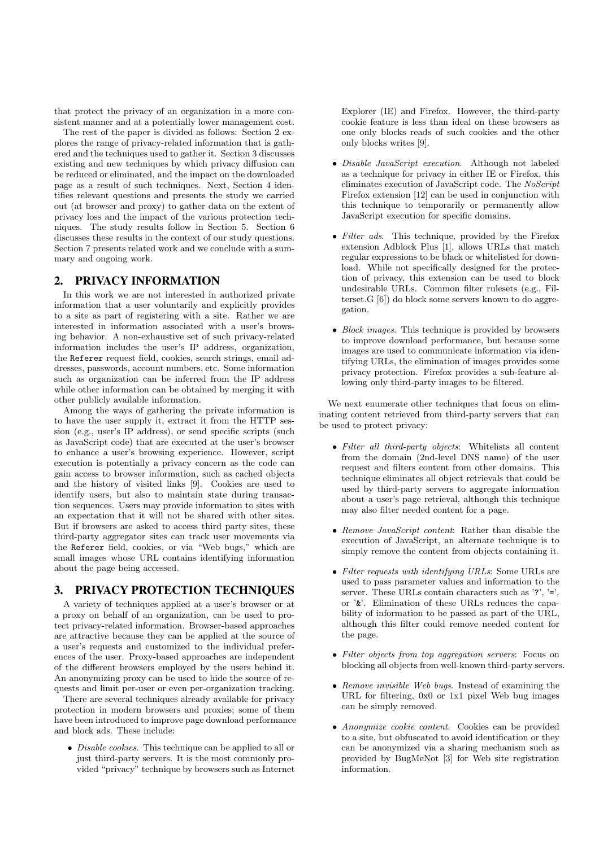that protect the privacy of an organization in a more consistent manner and at a potentially lower management cost.

The rest of the paper is divided as follows: Section 2 explores the range of privacy-related information that is gathered and the techniques used to gather it. Section 3 discusses existing and new techniques by which privacy diffusion can be reduced or eliminated, and the impact on the downloaded page as a result of such techniques. Next, Section 4 identifies relevant questions and presents the study we carried out (at browser and proxy) to gather data on the extent of privacy loss and the impact of the various protection techniques. The study results follow in Section 5. Section 6 discusses these results in the context of our study questions. Section 7 presents related work and we conclude with a summary and ongoing work.

# **2. PRIVACY INFORMATION**

In this work we are not interested in authorized private information that a user voluntarily and explicitly provides to a site as part of registering with a site. Rather we are interested in information associated with a user's browsing behavior. A non-exhaustive set of such privacy-related information includes the user's IP address, organization, the Referer request field, cookies, search strings, email addresses, passwords, account numbers, etc. Some information such as organization can be inferred from the IP address while other information can be obtained by merging it with other publicly available information.

Among the ways of gathering the private information is to have the user supply it, extract it from the HTTP session (e.g., user's IP address), or send specific scripts (such as JavaScript code) that are executed at the user's browser to enhance a user's browsing experience. However, script execution is potentially a privacy concern as the code can gain access to browser information, such as cached objects and the history of visited links [9]. Cookies are used to identify users, but also to maintain state during transaction sequences. Users may provide information to sites with an expectation that it will not be shared with other sites. But if browsers are asked to access third party sites, these third-party aggregator sites can track user movements via the Referer field, cookies, or via "Web bugs," which are small images whose URL contains identifying information about the page being accessed.

# **3. PRIVACY PROTECTION TECHNIQUES**

A variety of techniques applied at a user's browser or at a proxy on behalf of an organization, can be used to protect privacy-related information. Browser-based approaches are attractive because they can be applied at the source of a user's requests and customized to the individual preferences of the user. Proxy-based approaches are independent of the different browsers employed by the users behind it. An anonymizing proxy can be used to hide the source of requests and limit per-user or even per-organization tracking.

There are several techniques already available for privacy protection in modern browsers and proxies; some of them have been introduced to improve page download performance and block ads. These include:

• Disable cookies. This technique can be applied to all or just third-party servers. It is the most commonly provided "privacy" technique by browsers such as Internet Explorer (IE) and Firefox. However, the third-party cookie feature is less than ideal on these browsers as one only blocks reads of such cookies and the other only blocks writes [9].

- Disable JavaScript execution. Although not labeled as a technique for privacy in either IE or Firefox, this eliminates execution of JavaScript code. The NoScript Firefox extension [12] can be used in conjunction with this technique to temporarily or permanently allow JavaScript execution for specific domains.
- Filter ads. This technique, provided by the Firefox extension Adblock Plus [1], allows URLs that match regular expressions to be black or whitelisted for download. While not specifically designed for the protection of privacy, this extension can be used to block undesirable URLs. Common filter rulesets (e.g., Filterset.G [6]) do block some servers known to do aggregation.
- Block images. This technique is provided by browsers to improve download performance, but because some images are used to communicate information via identifying URLs, the elimination of images provides some privacy protection. Firefox provides a sub-feature allowing only third-party images to be filtered.

We next enumerate other techniques that focus on eliminating content retrieved from third-party servers that can be used to protect privacy:

- Filter all third-party objects: Whitelists all content from the domain (2nd-level DNS name) of the user request and filters content from other domains. This technique eliminates all object retrievals that could be used by third-party servers to aggregate information about a user's page retrieval, although this technique may also filter needed content for a page.
- Remove JavaScript content: Rather than disable the execution of JavaScript, an alternate technique is to simply remove the content from objects containing it.
- Filter requests with identifying URLs: Some URLs are used to pass parameter values and information to the server. These URLs contain characters such as '?', '=', or '&'. Elimination of these URLs reduces the capability of information to be passed as part of the URL, although this filter could remove needed content for the page.
- Filter objects from top aggregation servers: Focus on blocking all objects from well-known third-party servers.
- Remove invisible Web bugs. Instead of examining the URL for filtering, 0x0 or 1x1 pixel Web bug images can be simply removed.
- Anonymize cookie content. Cookies can be provided to a site, but obfuscated to avoid identification or they can be anonymized via a sharing mechanism such as provided by BugMeNot [3] for Web site registration information.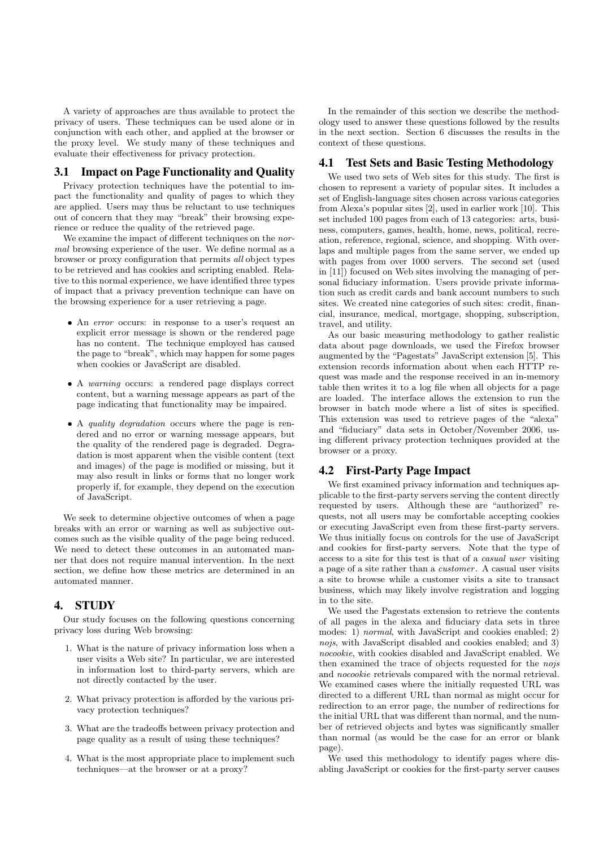A variety of approaches are thus available to protect the privacy of users. These techniques can be used alone or in conjunction with each other, and applied at the browser or the proxy level. We study many of these techniques and evaluate their effectiveness for privacy protection.

#### **3.1 Impact on Page Functionality and Quality**

Privacy protection techniques have the potential to impact the functionality and quality of pages to which they are applied. Users may thus be reluctant to use techniques out of concern that they may "break" their browsing experience or reduce the quality of the retrieved page.

We examine the impact of different techniques on the *nor*mal browsing experience of the user. We define normal as a browser or proxy configuration that permits all object types to be retrieved and has cookies and scripting enabled. Relative to this normal experience, we have identified three types of impact that a privacy prevention technique can have on the browsing experience for a user retrieving a page.

- An *error* occurs: in response to a user's request an explicit error message is shown or the rendered page has no content. The technique employed has caused the page to "break", which may happen for some pages when cookies or JavaScript are disabled.
- A warning occurs: a rendered page displays correct content, but a warning message appears as part of the page indicating that functionality may be impaired.
- A quality degradation occurs where the page is rendered and no error or warning message appears, but the quality of the rendered page is degraded. Degradation is most apparent when the visible content (text and images) of the page is modified or missing, but it may also result in links or forms that no longer work properly if, for example, they depend on the execution of JavaScript.

We seek to determine objective outcomes of when a page breaks with an error or warning as well as subjective outcomes such as the visible quality of the page being reduced. We need to detect these outcomes in an automated manner that does not require manual intervention. In the next section, we define how these metrics are determined in an automated manner.

## **4. STUDY**

Our study focuses on the following questions concerning privacy loss during Web browsing:

- 1. What is the nature of privacy information loss when a user visits a Web site? In particular, we are interested in information lost to third-party servers, which are not directly contacted by the user.
- 2. What privacy protection is afforded by the various privacy protection techniques?
- 3. What are the tradeoffs between privacy protection and page quality as a result of using these techniques?
- 4. What is the most appropriate place to implement such techniques—at the browser or at a proxy?

In the remainder of this section we describe the methodology used to answer these questions followed by the results in the next section. Section 6 discusses the results in the context of these questions.

#### **4.1 Test Sets and Basic Testing Methodology**

We used two sets of Web sites for this study. The first is chosen to represent a variety of popular sites. It includes a set of English-language sites chosen across various categories from Alexa's popular sites [2], used in earlier work [10]. This set included 100 pages from each of 13 categories: arts, business, computers, games, health, home, news, political, recreation, reference, regional, science, and shopping. With overlaps and multiple pages from the same server, we ended up with pages from over 1000 servers. The second set (used in [11]) focused on Web sites involving the managing of personal fiduciary information. Users provide private information such as credit cards and bank account numbers to such sites. We created nine categories of such sites: credit, financial, insurance, medical, mortgage, shopping, subscription, travel, and utility.

As our basic measuring methodology to gather realistic data about page downloads, we used the Firefox browser augmented by the "Pagestats" JavaScript extension [5]. This extension records information about when each HTTP request was made and the response received in an in-memory table then writes it to a log file when all objects for a page are loaded. The interface allows the extension to run the browser in batch mode where a list of sites is specified. This extension was used to retrieve pages of the "alexa" and "fiduciary" data sets in October/November 2006, using different privacy protection techniques provided at the browser or a proxy.

### **4.2 First-Party Page Impact**

We first examined privacy information and techniques applicable to the first-party servers serving the content directly requested by users. Although these are "authorized" requests, not all users may be comfortable accepting cookies or executing JavaScript even from these first-party servers. We thus initially focus on controls for the use of JavaScript and cookies for first-party servers. Note that the type of access to a site for this test is that of a casual user visiting a page of a site rather than a customer . A casual user visits a site to browse while a customer visits a site to transact business, which may likely involve registration and logging in to the site.

We used the Pagestats extension to retrieve the contents of all pages in the alexa and fiduciary data sets in three modes: 1) normal, with JavaScript and cookies enabled; 2) nojs, with JavaScript disabled and cookies enabled; and 3) nocookie, with cookies disabled and JavaScript enabled. We then examined the trace of objects requested for the nojs and nocookie retrievals compared with the normal retrieval. We examined cases where the initially requested URL was directed to a different URL than normal as might occur for redirection to an error page, the number of redirections for the initial URL that was different than normal, and the number of retrieved objects and bytes was significantly smaller than normal (as would be the case for an error or blank page).

We used this methodology to identify pages where disabling JavaScript or cookies for the first-party server causes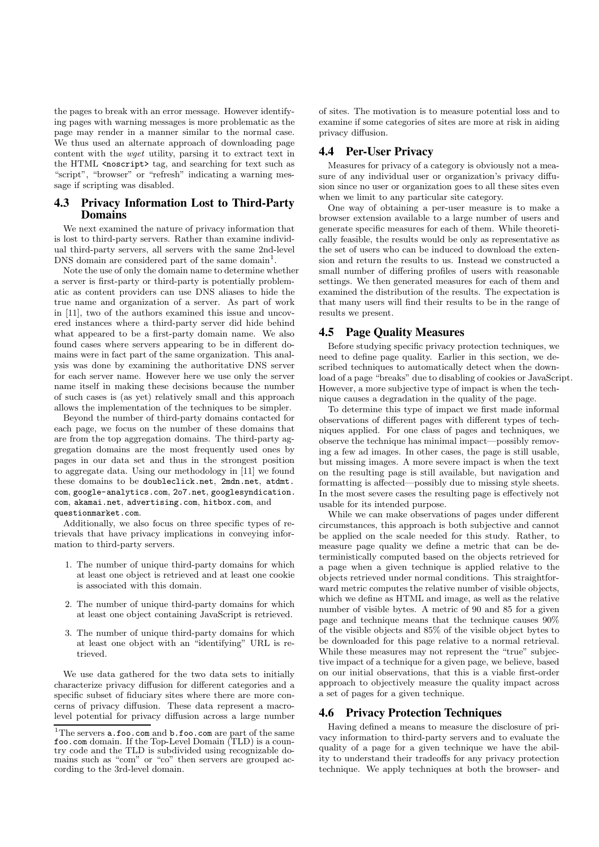the pages to break with an error message. However identifying pages with warning messages is more problematic as the page may render in a manner similar to the normal case. We thus used an alternate approach of downloading page content with the wget utility, parsing it to extract text in the HTML <noscript> tag, and searching for text such as "script", "browser" or "refresh" indicating a warning message if scripting was disabled.

# **4.3 Privacy Information Lost to Third-Party Domains**

We next examined the nature of privacy information that is lost to third-party servers. Rather than examine individual third-party servers, all servers with the same 2nd-level DNS domain are considered part of the same domain<sup>1</sup>.

Note the use of only the domain name to determine whether a server is first-party or third-party is potentially problematic as content providers can use DNS aliases to hide the true name and organization of a server. As part of work in [11], two of the authors examined this issue and uncovered instances where a third-party server did hide behind what appeared to be a first-party domain name. We also found cases where servers appearing to be in different domains were in fact part of the same organization. This analysis was done by examining the authoritative DNS server for each server name. However here we use only the server name itself in making these decisions because the number of such cases is (as yet) relatively small and this approach allows the implementation of the techniques to be simpler.

Beyond the number of third-party domains contacted for each page, we focus on the number of these domains that are from the top aggregation domains. The third-party aggregation domains are the most frequently used ones by pages in our data set and thus in the strongest position to aggregate data. Using our methodology in [11] we found these domains to be doubleclick.net, 2mdn.net, atdmt. com, google-analytics.com, 2o7.net, googlesyndication. com, akamai.net, advertising.com, hitbox.com, and questionmarket.com.

Additionally, we also focus on three specific types of retrievals that have privacy implications in conveying information to third-party servers.

- 1. The number of unique third-party domains for which at least one object is retrieved and at least one cookie is associated with this domain.
- 2. The number of unique third-party domains for which at least one object containing JavaScript is retrieved.
- 3. The number of unique third-party domains for which at least one object with an "identifying" URL is retrieved.

We use data gathered for the two data sets to initially characterize privacy diffusion for different categories and a specific subset of fiduciary sites where there are more concerns of privacy diffusion. These data represent a macrolevel potential for privacy diffusion across a large number of sites. The motivation is to measure potential loss and to examine if some categories of sites are more at risk in aiding privacy diffusion.

#### **4.4 Per-User Privacy**

Measures for privacy of a category is obviously not a measure of any individual user or organization's privacy diffusion since no user or organization goes to all these sites even when we limit to any particular site category.

One way of obtaining a per-user measure is to make a browser extension available to a large number of users and generate specific measures for each of them. While theoretically feasible, the results would be only as representative as the set of users who can be induced to download the extension and return the results to us. Instead we constructed a small number of differing profiles of users with reasonable settings. We then generated measures for each of them and examined the distribution of the results. The expectation is that many users will find their results to be in the range of results we present.

#### **4.5 Page Quality Measures**

Before studying specific privacy protection techniques, we need to define page quality. Earlier in this section, we described techniques to automatically detect when the download of a page "breaks" due to disabling of cookies or JavaScript. However, a more subjective type of impact is when the technique causes a degradation in the quality of the page.

To determine this type of impact we first made informal observations of different pages with different types of techniques applied. For one class of pages and techniques, we observe the technique has minimal impact—possibly removing a few ad images. In other cases, the page is still usable, but missing images. A more severe impact is when the text on the resulting page is still available, but navigation and formatting is affected—possibly due to missing style sheets. In the most severe cases the resulting page is effectively not usable for its intended purpose.

While we can make observations of pages under different circumstances, this approach is both subjective and cannot be applied on the scale needed for this study. Rather, to measure page quality we define a metric that can be deterministically computed based on the objects retrieved for a page when a given technique is applied relative to the objects retrieved under normal conditions. This straightforward metric computes the relative number of visible objects. which we define as HTML and image, as well as the relative number of visible bytes. A metric of 90 and 85 for a given page and technique means that the technique causes 90% of the visible objects and 85% of the visible object bytes to be downloaded for this page relative to a normal retrieval. While these measures may not represent the "true" subjective impact of a technique for a given page, we believe, based on our initial observations, that this is a viable first-order approach to objectively measure the quality impact across a set of pages for a given technique.

# **4.6 Privacy Protection Techniques**

Having defined a means to measure the disclosure of privacy information to third-party servers and to evaluate the quality of a page for a given technique we have the ability to understand their tradeoffs for any privacy protection technique. We apply techniques at both the browser- and

<sup>&</sup>lt;sup>1</sup>The servers **a**.foo.com and **b**.foo.com are part of the same foo.com domain. If the Top-Level Domain (TLD) is a country code and the TLD is subdivided using recognizable domains such as "com" or "co" then servers are grouped according to the 3rd-level domain.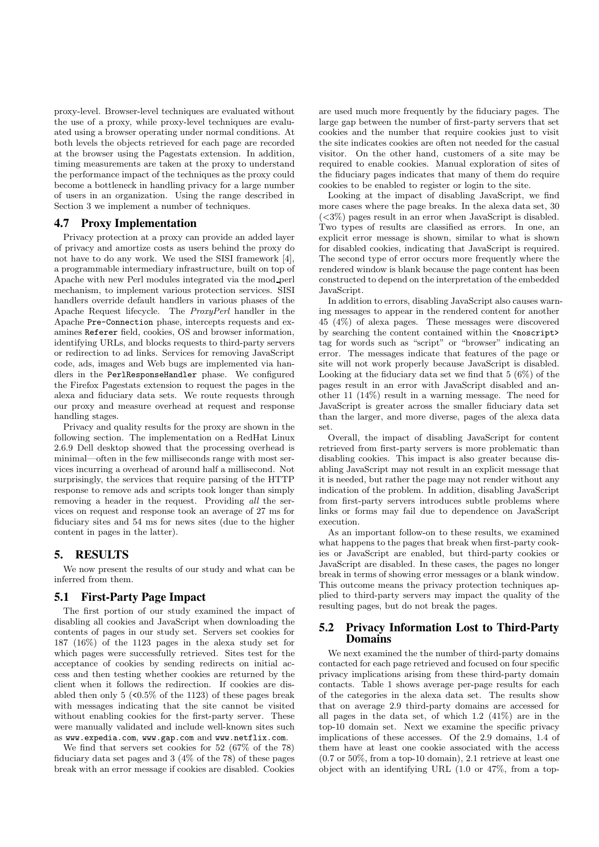proxy-level. Browser-level techniques are evaluated without the use of a proxy, while proxy-level techniques are evaluated using a browser operating under normal conditions. At both levels the objects retrieved for each page are recorded at the browser using the Pagestats extension. In addition, timing measurements are taken at the proxy to understand the performance impact of the techniques as the proxy could become a bottleneck in handling privacy for a large number of users in an organization. Using the range described in Section 3 we implement a number of techniques.

## **4.7 Proxy Implementation**

Privacy protection at a proxy can provide an added layer of privacy and amortize costs as users behind the proxy do not have to do any work. We used the SISI framework [4], a programmable intermediary infrastructure, built on top of Apache with new Perl modules integrated via the mod perl mechanism, to implement various protection services. SISI handlers override default handlers in various phases of the Apache Request lifecycle. The ProxyPerl handler in the Apache Pre-Connection phase, intercepts requests and examines Referer field, cookies, OS and browser information, identifying URLs, and blocks requests to third-party servers or redirection to ad links. Services for removing JavaScript code, ads, images and Web bugs are implemented via handlers in the PerlResponseHandler phase. We configured the Firefox Pagestats extension to request the pages in the alexa and fiduciary data sets. We route requests through our proxy and measure overhead at request and response handling stages.

Privacy and quality results for the proxy are shown in the following section. The implementation on a RedHat Linux 2.6.9 Dell desktop showed that the processing overhead is minimal—often in the few milliseconds range with most services incurring a overhead of around half a millisecond. Not surprisingly, the services that require parsing of the HTTP response to remove ads and scripts took longer than simply removing a header in the request. Providing all the services on request and response took an average of 27 ms for fiduciary sites and 54 ms for news sites (due to the higher content in pages in the latter).

## **5. RESULTS**

We now present the results of our study and what can be inferred from them.

#### **5.1 First-Party Page Impact**

The first portion of our study examined the impact of disabling all cookies and JavaScript when downloading the contents of pages in our study set. Servers set cookies for 187 (16%) of the 1123 pages in the alexa study set for which pages were successfully retrieved. Sites test for the acceptance of cookies by sending redirects on initial access and then testing whether cookies are returned by the client when it follows the redirection. If cookies are disabled then only  $5 \times 0.5\%$  of the 1123) of these pages break with messages indicating that the site cannot be visited without enabling cookies for the first-party server. These were manually validated and include well-known sites such as www.expedia.com, www.gap.com and www.netflix.com.

We find that servers set cookies for 52 (67% of the 78) fiduciary data set pages and 3 (4% of the 78) of these pages break with an error message if cookies are disabled. Cookies

are used much more frequently by the fiduciary pages. The large gap between the number of first-party servers that set cookies and the number that require cookies just to visit the site indicates cookies are often not needed for the casual visitor. On the other hand, customers of a site may be required to enable cookies. Manual exploration of sites of the fiduciary pages indicates that many of them do require cookies to be enabled to register or login to the site.

Looking at the impact of disabling JavaScript, we find more cases where the page breaks. In the alexa data set, 30  $(<3\%)$  pages result in an error when JavaScript is disabled. Two types of results are classified as errors. In one, an explicit error message is shown, similar to what is shown for disabled cookies, indicating that JavaScript is required. The second type of error occurs more frequently where the rendered window is blank because the page content has been constructed to depend on the interpretation of the embedded JavaScript.

In addition to errors, disabling JavaScript also causes warning messages to appear in the rendered content for another 45 (4%) of alexa pages. These messages were discovered by searching the content contained within the <noscript> tag for words such as "script" or "browser" indicating an error. The messages indicate that features of the page or site will not work properly because JavaScript is disabled. Looking at the fiduciary data set we find that 5 (6%) of the pages result in an error with JavaScript disabled and another 11 (14%) result in a warning message. The need for JavaScript is greater across the smaller fiduciary data set than the larger, and more diverse, pages of the alexa data set.

Overall, the impact of disabling JavaScript for content retrieved from first-party servers is more problematic than disabling cookies. This impact is also greater because disabling JavaScript may not result in an explicit message that it is needed, but rather the page may not render without any indication of the problem. In addition, disabling JavaScript from first-party servers introduces subtle problems where links or forms may fail due to dependence on JavaScript execution.

As an important follow-on to these results, we examined what happens to the pages that break when first-party cookies or JavaScript are enabled, but third-party cookies or JavaScript are disabled. In these cases, the pages no longer break in terms of showing error messages or a blank window. This outcome means the privacy protection techniques applied to third-party servers may impact the quality of the resulting pages, but do not break the pages.

# **5.2 Privacy Information Lost to Third-Party Domains**

We next examined the the number of third-party domains contacted for each page retrieved and focused on four specific privacy implications arising from these third-party domain contacts. Table 1 shows average per-page results for each of the categories in the alexa data set. The results show that on average 2.9 third-party domains are accessed for all pages in the data set, of which 1.2 (41%) are in the top-10 domain set. Next we examine the specific privacy implications of these accesses. Of the 2.9 domains, 1.4 of them have at least one cookie associated with the access (0.7 or 50%, from a top-10 domain), 2.1 retrieve at least one object with an identifying URL (1.0 or 47%, from a top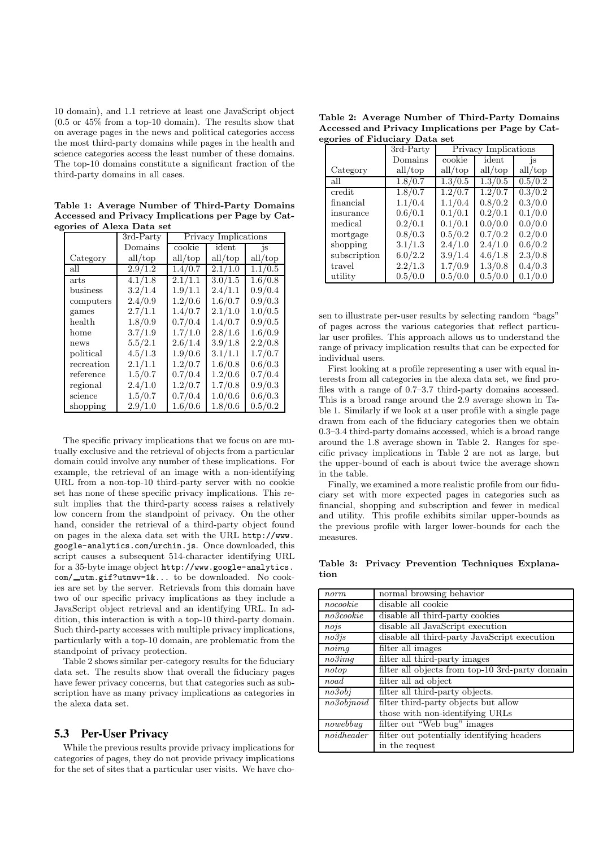10 domain), and 1.1 retrieve at least one JavaScript object (0.5 or 45% from a top-10 domain). The results show that on average pages in the news and political categories access the most third-party domains while pages in the health and science categories access the least number of these domains. The top-10 domains constitute a significant fraction of the third-party domains in all cases.

Table 1: Average Number of Third-Party Domains Accessed and Privacy Implications per Page by Categories of Alexa Data set

|             | $\overline{3}rd$ -Party | Privacy Implications |                   |               |  |  |
|-------------|-------------------------|----------------------|-------------------|---------------|--|--|
|             | Domains                 | cookie               | ident             | <sup>is</sup> |  |  |
| Category    | all/top                 | all/top              | all/top           | all/top       |  |  |
| all         | 2.9/1.2                 | 1.4/0.7              | 2.1/1.0           | 1.1/0.5       |  |  |
| <i>arts</i> | 4.1/1.8                 | 2.1/1.1              | $\frac{3.0}{1.5}$ | 1.6/0.8       |  |  |
| business    | 3.2/1.4                 | 1.9/1.1              | 2.4/1.1           | 0.9/0.4       |  |  |
| computers   | 2.4/0.9                 | 1.2/0.6              | 1.6/0.7           | 0.9/0.3       |  |  |
| games       | 2.7/1.1                 | 1.4/0.7              | 2.1/1.0           | 1.0/0.5       |  |  |
| health      | 1.8/0.9                 | 0.7/0.4              | 1.4/0.7           | 0.9/0.5       |  |  |
| home        | 3.7/1.9                 | 1.7/1.0              | 2.8/1.6           | 1.6/0.9       |  |  |
| news        | 5.5/2.1                 | 2.6/1.4              | 3.9/1.8           | 2.2/0.8       |  |  |
| political   | 4.5/1.3                 | 1.9/0.6              | 3.1/1.1           | 1.7/0.7       |  |  |
| recreation  | 2.1/1.1                 | 1.2/0.7              | 1.6/0.8           | 0.6/0.3       |  |  |
| reference   | 1.5/0.7                 | 0.7/0.4              | 1.2/0.6           | 0.7/0.4       |  |  |
| regional    | 2.4/1.0                 | 1.2/0.7              | 1.7/0.8           | 0.9/0.3       |  |  |
| science     | 1.5/0.7                 | 0.7/0.4              | 1.0/0.6           | 0.6/0.3       |  |  |
| shopping    | 2.9/1.0                 | 1.6/0.6              | 1.8/0.6           | 0.5/0.2       |  |  |

The specific privacy implications that we focus on are mutually exclusive and the retrieval of objects from a particular domain could involve any number of these implications. For example, the retrieval of an image with a non-identifying URL from a non-top-10 third-party server with no cookie set has none of these specific privacy implications. This result implies that the third-party access raises a relatively low concern from the standpoint of privacy. On the other hand, consider the retrieval of a third-party object found on pages in the alexa data set with the URL http://www. google-analytics.com/urchin.js. Once downloaded, this script causes a subsequent 514-character identifying URL for a 35-byte image object http://www.google-analytics. com/\_utm.gif?utmwv=1&... to be downloaded. No cookies are set by the server. Retrievals from this domain have two of our specific privacy implications as they include a JavaScript object retrieval and an identifying URL. In addition, this interaction is with a top-10 third-party domain. Such third-party accesses with multiple privacy implications, particularly with a top-10 domain, are problematic from the standpoint of privacy protection.

Table 2 shows similar per-category results for the fiduciary data set. The results show that overall the fiduciary pages have fewer privacy concerns, but that categories such as subscription have as many privacy implications as categories in the alexa data set.

#### **5.3 Per-User Privacy**

While the previous results provide privacy implications for categories of pages, they do not provide privacy implications for the set of sites that a particular user visits. We have cho-

Table 2: Average Number of Third-Party Domains Accessed and Privacy Implications per Page by Categories of Fiduciary Data set

|              | 3rd-Party | Privacy Implications |                      |                      |  |  |
|--------------|-----------|----------------------|----------------------|----------------------|--|--|
|              | Domains   | cookie               | ident                | <sup>is</sup>        |  |  |
| Category     | all/top   | all/top              | all/top              | all/top              |  |  |
| all          | 1.8/0.7   | 1.3/0.5              | 1.3/0.5              | 0.5/0.2              |  |  |
| credit       | 1.8/0.7   | 1.2/0.7              | $1.\overline{2/0.7}$ | $0.\overline{3/0.2}$ |  |  |
| financial    | 1.1/0.4   | 1.1/0.4              | 0.8/0.2              | 0.3/0.0              |  |  |
| insurance    | 0.6/0.1   | 0.1/0.1              | 0.2/0.1              | 0.1/0.0              |  |  |
| medical      | 0.2/0.1   | 0.1/0.1              | 0.0/0.0              | 0.0/0.0              |  |  |
| mortgage     | 0.8/0.3   | 0.5/0.2              | 0.7/0.2              | 0.2/0.0              |  |  |
| shopping     | 3.1/1.3   | 2.4/1.0              | 2.4/1.0              | 0.6/0.2              |  |  |
| subscription | 6.0/2.2   | 3.9/1.4              | 4.6/1.8              | 2.3/0.8              |  |  |
| travel       | 2.2/1.3   | 1.7/0.9              | 1.3/0.8              | 0.4/0.3              |  |  |
| utility      | 0.5/0.0   | 0.5/0.0              | 0.5/0.0              | 0.1/0.0              |  |  |

sen to illustrate per-user results by selecting random "bags" of pages across the various categories that reflect particular user profiles. This approach allows us to understand the range of privacy implication results that can be expected for individual users.

First looking at a profile representing a user with equal interests from all categories in the alexa data set, we find profiles with a range of 0.7–3.7 third-party domains accessed. This is a broad range around the 2.9 average shown in Table 1. Similarly if we look at a user profile with a single page drawn from each of the fiduciary categories then we obtain 0.3–3.4 third-party domains accessed, which is a broad range around the 1.8 average shown in Table 2. Ranges for specific privacy implications in Table 2 are not as large, but the upper-bound of each is about twice the average shown in the table.

Finally, we examined a more realistic profile from our fiduciary set with more expected pages in categories such as financial, shopping and subscription and fewer in medical and utility. This profile exhibits similar upper-bounds as the previous profile with larger lower-bounds for each the measures.

Table 3: Privacy Prevention Techniques Explanation

| norm                   | normal browsing behavior                        |
|------------------------|-------------------------------------------------|
| $nocolo\overline{kie}$ | disable all cookie                              |
| no3 cookie             | disable all third-party cookies                 |
| nois                   | disable all JavaScript execution                |
| $no3j$ s               | disable all third-party JavaScript execution    |
| noimq                  | filter all images                               |
| $no3$ ima              | filter all third-party images                   |
| notop                  | filter all objects from top-10 3rd-party domain |
| noad                   | filter all ad object                            |
| no3obi                 | filter all third-party objects.                 |
| no3obinoid             | filter third-party objects but allow            |
|                        | those with non-identifying URLs                 |
| nowebbug               | filter out "Web bug" images                     |
| noidheader             | filter out potentially identifying headers      |
|                        | in the request                                  |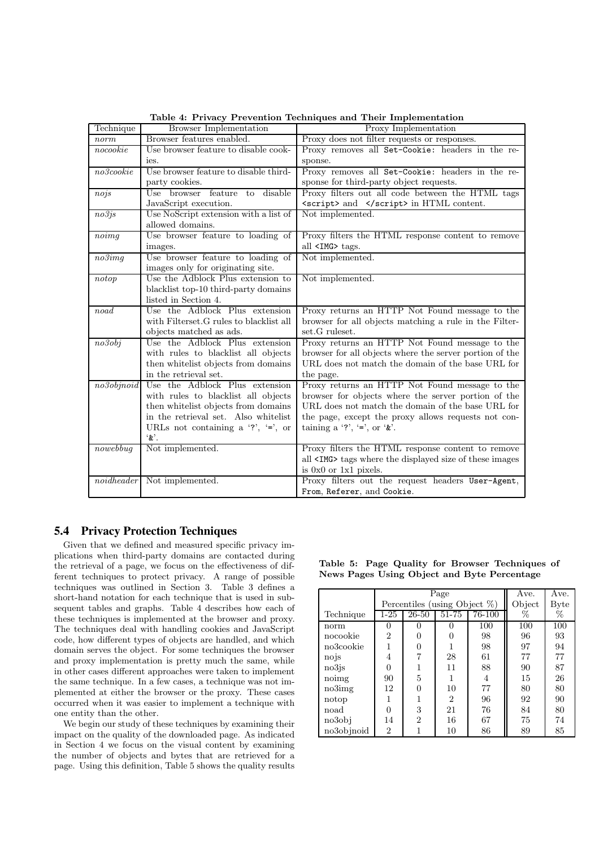| Technique           | <b>Browser Implementation</b>                                               | Proxy Implementation                                                                                     |
|---------------------|-----------------------------------------------------------------------------|----------------------------------------------------------------------------------------------------------|
| norm                | Browser features enabled.                                                   | Proxy does not filter requests or responses.                                                             |
| nocookie            | Use browser feature to disable cook-                                        | Proxy removes all Set-Cookie: headers in the re-                                                         |
|                     | ies.                                                                        | sponse.                                                                                                  |
| $no3 \text{cookie}$ | Use browser feature to disable third-                                       | Proxy removes all Set-Cookie: headers in the re-                                                         |
|                     | party cookies.                                                              | sponse for third-party object requests.                                                                  |
| nojs                | disable<br>Use browser feature to                                           | Proxy filters out all code between the HTML tags                                                         |
|                     | JavaScript execution.                                                       | <script> and </script> in HTML content.                                                                  |
| no3js               | Use NoScript extension with a list of                                       | Not implemented.                                                                                         |
|                     | allowed domains.                                                            |                                                                                                          |
| noimg               | Use browser feature to loading of                                           | Proxy filters the HTML response content to remove                                                        |
|                     | images.                                                                     | all <img/> tags.                                                                                         |
| $no3$ img           | Use browser feature to loading of                                           | Not implemented.                                                                                         |
|                     | images only for originating site.                                           |                                                                                                          |
| notop               | Use the Adblock Plus extension to                                           | Not implemented.                                                                                         |
|                     | blacklist top-10 third-party domains                                        |                                                                                                          |
|                     | listed in Section 4.                                                        |                                                                                                          |
| noad                | Use the Adblock Plus extension                                              | Proxy returns an HTTP Not Found message to the                                                           |
|                     | with Filterset. G rules to black list all                                   | browser for all objects matching a rule in the Filter-                                                   |
|                     | objects matched as ads.                                                     | set.G ruleset.                                                                                           |
| no3obj              | Use the Adblock Plus extension                                              | Proxy returns an HTTP Not Found message to the                                                           |
|                     | with rules to black list all objects                                        | browser for all objects where the server portion of the                                                  |
|                     | then whitelist objects from domains                                         | URL does not match the domain of the base URL for                                                        |
|                     | in the retrieval set.                                                       | the page.                                                                                                |
| no3objnoid          | Use the Adblock Plus extension                                              | Proxy returns an HTTP Not Found message to the                                                           |
|                     | with rules to black list all objects                                        | browser for objects where the server portion of the<br>URL does not match the domain of the base URL for |
|                     | then whitelist objects from domains<br>in the retrieval set. Also whitelist | the page, except the proxy allows requests not con-                                                      |
|                     |                                                                             | taining a '?', '=', or ' $\&$ '.                                                                         |
|                     | URLs not containing a '?', '=', or<br>$\cdot x$ .                           |                                                                                                          |
| nowebbug            | Not implemented.                                                            | Proxy filters the HTML response content to remove                                                        |
|                     |                                                                             | all <img/> tags where the displayed size of these images                                                 |
|                     |                                                                             | is $0x0$ or $1x1$ pixels.                                                                                |
| noidheader          | Not implemented.                                                            | Proxy filters out the request headers User-Agent,                                                        |
|                     |                                                                             | From, Referer, and Cookie.                                                                               |

Table 4: Privacy Prevention Techniques and Their Implementation

## **5.4 Privacy Protection Techniques**

Given that we defined and measured specific privacy implications when third-party domains are contacted during the retrieval of a page, we focus on the effectiveness of different techniques to protect privacy. A range of possible techniques was outlined in Section 3. Table 3 defines a short-hand notation for each technique that is used in subsequent tables and graphs. Table 4 describes how each of these techniques is implemented at the browser and proxy. The techniques deal with handling cookies and JavaScript code, how different types of objects are handled, and which domain serves the object. For some techniques the browser and proxy implementation is pretty much the same, while in other cases different approaches were taken to implement the same technique. In a few cases, a technique was not implemented at either the browser or the proxy. These cases occurred when it was easier to implement a technique with one entity than the other.

We begin our study of these techniques by examining their impact on the quality of the downloaded page. As indicated in Section 4 we focus on the visual content by examining the number of objects and bytes that are retrieved for a page. Using this definition, Table 5 shows the quality results

|            |                | Page                             | Ave.           | Ave.   |      |     |
|------------|----------------|----------------------------------|----------------|--------|------|-----|
|            |                | Percentiles (using Object $\%$ ) | Object         | Byte   |      |     |
| Technique  | $1-25$         | $26 - 50$                        | $51 - 75$      | 76-100 | $\%$ | %   |
| norm       | 0              | 0                                |                | 100    | 100  | 100 |
| nocookie   | $\overline{2}$ | 0                                |                | 98     | 96   | 93  |
| no3cookie  |                | 0                                |                | 98     | 97   | 94  |
| nojs       | 4              |                                  | 28             | 61     | 77   | 77  |
| no3is      | $\Omega$       |                                  | 11             | 88     | 90   | 87  |
| noimg      | 90             | 5                                |                | 4      | 15   | 26  |
| no3img     | 12             | $\Omega$                         | 10             | 77     | 80   | 80  |
| notop      |                |                                  | $\overline{2}$ | 96     | 92   | 90  |
| noad       | ⋂              | 3                                | 21             | 76     | 84   | 80  |
| no3obi     | 14             | $\overline{2}$                   | 16             | 67     | 75   | 74  |
| no3objnoid | 2              |                                  | 10             | 86     | 89   | 85  |

Table 5: Page Quality for Browser Techniques of News Pages Using Object and Byte Percentage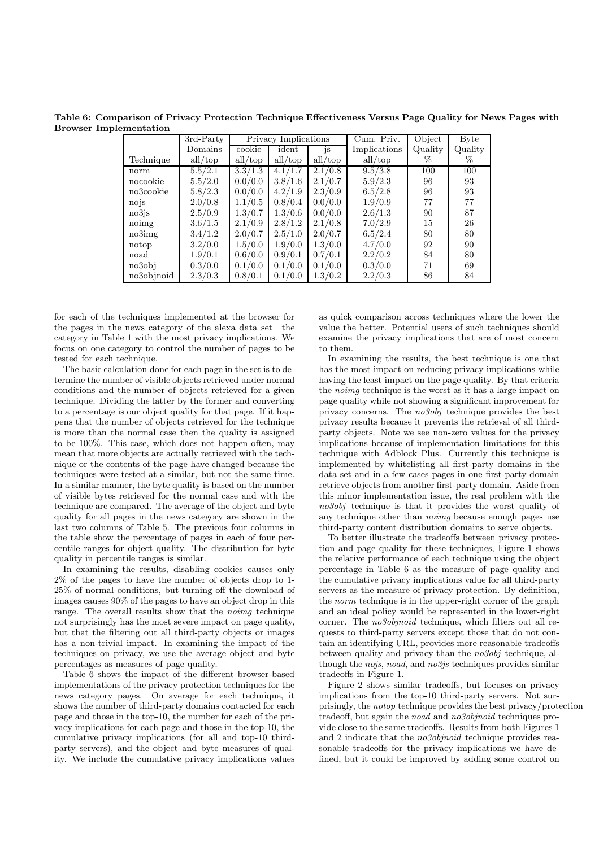Table 6: Comparison of Privacy Protection Technique Effectiveness Versus Page Quality for News Pages with **Browser Implementation** 

|            | 3rd-Party |         | Privacy Implications |           | Cum. Priv.   | Object  | <b>Byte</b> |
|------------|-----------|---------|----------------------|-----------|--------------|---------|-------------|
|            | Domains   | cookie  | ident                | <i>is</i> | Implications | Quality | Quality     |
| Technique  | all/top   | all/top | all/top              | all/top   | all/top      | %       | %           |
| norm       | 5.5/2.1   | 3.3/1.3 | 4.1/1.7              | 2.1/0.8   | 9.5/3.8      | 100     | 100         |
| nocookie   | 5.5/2.0   | 0.0/0.0 | 3.8/1.6              | 2.1/0.7   | 5.9/2.3      | 96      | 93          |
| no3cookie  | 5.8/2.3   | 0.0/0.0 | 4.2/1.9              | 2.3/0.9   | 6.5/2.8      | 96      | 93          |
| nojs       | 2.0/0.8   | 1.1/0.5 | 0.8/0.4              | 0.0/0.0   | 1.9/0.9      | 77      | 77          |
| no3is      | 2.5/0.9   | 1.3/0.7 | 1.3/0.6              | 0.0/0.0   | 2.6/1.3      | 90      | 87          |
| noimg      | 3.6/1.5   | 2.1/0.9 | 2.8/1.2              | 2.1/0.8   | 7.0/2.9      | 15      | 26          |
| no3img     | 3.4/1.2   | 2.0/0.7 | 2.5/1.0              | 2.0/0.7   | 6.5/2.4      | 80      | 80          |
| notop      | 3.2/0.0   | 1.5/0.0 | 1.9/0.0              | 1.3/0.0   | 4.7/0.0      | 92      | 90          |
| noad       | 1.9/0.1   | 0.6/0.0 | 0.9/0.1              | 0.7/0.1   | 2.2/0.2      | 84      | 80          |
| no3obj     | 0.3/0.0   | 0.1/0.0 | 0.1/0.0              | 0.1/0.0   | 0.3/0.0      | 71      | 69          |
| no3objnoid | 2.3/0.3   | 0.8/0.1 | 0.1/0.0              | 1.3/0.2   | 2.2/0.3      | 86      | 84          |

for each of the techniques implemented at the browser for the pages in the news category of the alexa data set—the category in Table 1 with the most privacy implications. We focus on one category to control the number of pages to be tested for each technique.

The basic calculation done for each page in the set is to determine the number of visible objects retrieved under normal conditions and the number of objects retrieved for a given technique. Dividing the latter by the former and converting to a percentage is our object quality for that page. If it happens that the number of objects retrieved for the technique is more than the normal case then the quality is assigned to be 100%. This case, which does not happen often, may mean that more objects are actually retrieved with the technique or the contents of the page have changed because the techniques were tested at a similar, but not the same time. In a similar manner, the byte quality is based on the number of visible bytes retrieved for the normal case and with the technique are compared. The average of the object and byte quality for all pages in the news category are shown in the last two columns of Table 5. The previous four columns in the table show the percentage of pages in each of four percentile ranges for object quality. The distribution for byte quality in percentile ranges is similar.

In examining the results, disabling cookies causes only  $2\%$  of the pages to have the number of objects drop to 1-25% of normal conditions, but turning off the download of images causes 90% of the pages to have an object drop in this range. The overall results show that the *noimq* technique not surprisingly has the most severe impact on page quality, but that the filtering out all third-party objects or images has a non-trivial impact. In examining the impact of the techniques on privacy, we use the average object and byte percentages as measures of page quality.

Table 6 shows the impact of the different browser-based implementations of the privacy protection techniques for the news category pages. On average for each technique, it shows the number of third-party domains contacted for each page and those in the top-10, the number for each of the privacy implications for each page and those in the top-10, the cumulative privacy implications (for all and top-10 thirdparty servers), and the object and byte measures of quality. We include the cumulative privacy implications values as quick comparison across techniques where the lower the value the better. Potential users of such techniques should examine the privacy implications that are of most concern to them.

In examining the results, the best technique is one that has the most impact on reducing privacy implications while having the least impact on the page quality. By that criteria the noimg technique is the worst as it has a large impact on page quality while not showing a significant improvement for privacy concerns. The  $no3obj$  technique provides the best privacy results because it prevents the retrieval of all thirdparty objects. Note we see non-zero values for the privacy implications because of implementation limitations for this technique with Adblock Plus. Currently this technique is implemented by whitelisting all first-party domains in the data set and in a few cases pages in one first-party domain retrieve objects from another first-party domain. Aside from this minor implementation issue, the real problem with the  $no3obj$  technique is that it provides the worst quality of any technique other than *noima* because enough pages use third-party content distribution domains to serve objects.

To better illustrate the tradeoffs between privacy protection and page quality for these techniques. Figure 1 shows the relative performance of each technique using the object percentage in Table 6 as the measure of page quality and the cumulative privacy implications value for all third-party servers as the measure of privacy protection. By definition, the *norm* technique is in the upper-right corner of the graph and an ideal policy would be represented in the lower-right corner. The noSobjnoid technique, which filters out all requests to third-party servers except those that do not contain an identifying URL, provides more reasonable tradeoffs between quality and privacy than the  $no3obj$  technique, although the nois, noad, and no  $3j$ s techniques provides similar tradeoffs in Figure 1.

Figure 2 shows similar tradeoffs, but focuses on privacy implications from the top-10 third-party servers. Not surprisingly, the *notop* technique provides the best privacy/protection tradeoff, but again the noad and no3objnoid techniques provide close to the same tradeoffs. Results from both Figures 1 and 2 indicate that the *no3obinoid* technique provides reasonable tradeoffs for the privacy implications we have defined, but it could be improved by adding some control on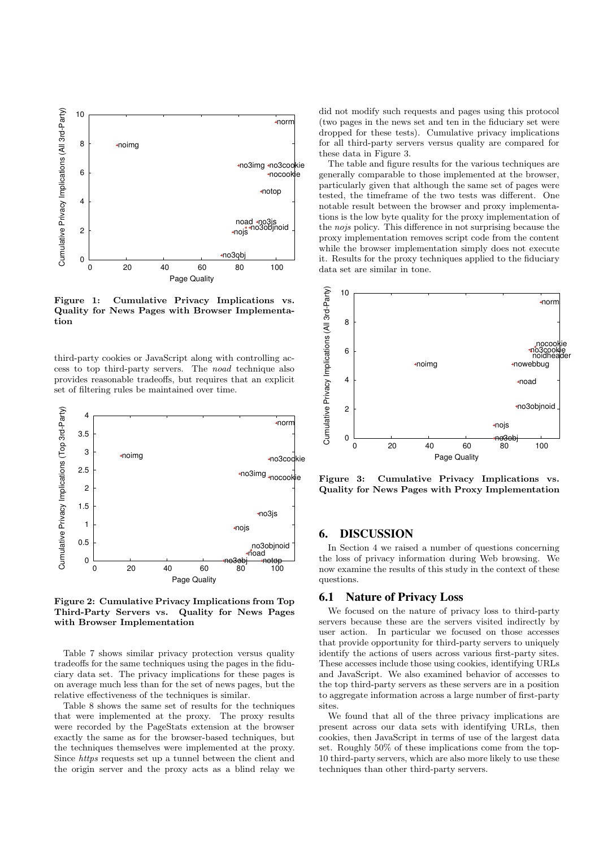

Figure 1: Cumulative Privacy Implications vs. Quality for News Pages with Browser Implementation

third-party cookies or JavaScript along with controlling access to top third-party servers. The noad technique also provides reasonable tradeoffs, but requires that an explicit set of filtering rules be maintained over time.



Figure 2: Cumulative Privacy Implications from Top Third-Party Servers vs. Quality for News Pages with Browser Implementation

Table 7 shows similar privacy protection versus quality tradeoffs for the same techniques using the pages in the fiduciary data set. The privacy implications for these pages is on average much less than for the set of news pages, but the relative effectiveness of the techniques is similar.

Table 8 shows the same set of results for the techniques that were implemented at the proxy. The proxy results were recorded by the PageStats extension at the browser exactly the same as for the browser-based techniques, but the techniques themselves were implemented at the proxy. Since https requests set up a tunnel between the client and the origin server and the proxy acts as a blind relay we did not modify such requests and pages using this protocol (two pages in the news set and ten in the fiduciary set were dropped for these tests). Cumulative privacy implications for all third-party servers versus quality are compared for these data in Figure 3.

The table and figure results for the various techniques are generally comparable to those implemented at the browser, particularly given that although the same set of pages were tested, the timeframe of the two tests was different. One notable result between the browser and proxy implementations is the low byte quality for the proxy implementation of the nojs policy. This difference in not surprising because the proxy implementation removes script code from the content while the browser implementation simply does not execute it. Results for the proxy techniques applied to the fiduciary data set are similar in tone.



Figure 3: Cumulative Privacy Implications vs. Quality for News Pages with Proxy Implementation

# **6. DISCUSSION**

In Section 4 we raised a number of questions concerning the loss of privacy information during Web browsing. We now examine the results of this study in the context of these questions.

#### **6.1 Nature of Privacy Loss**

We focused on the nature of privacy loss to third-party servers because these are the servers visited indirectly by user action. In particular we focused on those accesses that provide opportunity for third-party servers to uniquely identify the actions of users across various first-party sites. These accesses include those using cookies, identifying URLs and JavaScript. We also examined behavior of accesses to the top third-party servers as these servers are in a position to aggregate information across a large number of first-party sites.

We found that all of the three privacy implications are present across our data sets with identifying URLs, then cookies, then JavaScript in terms of use of the largest data set. Roughly 50% of these implications come from the top-10 third-party servers, which are also more likely to use these techniques than other third-party servers.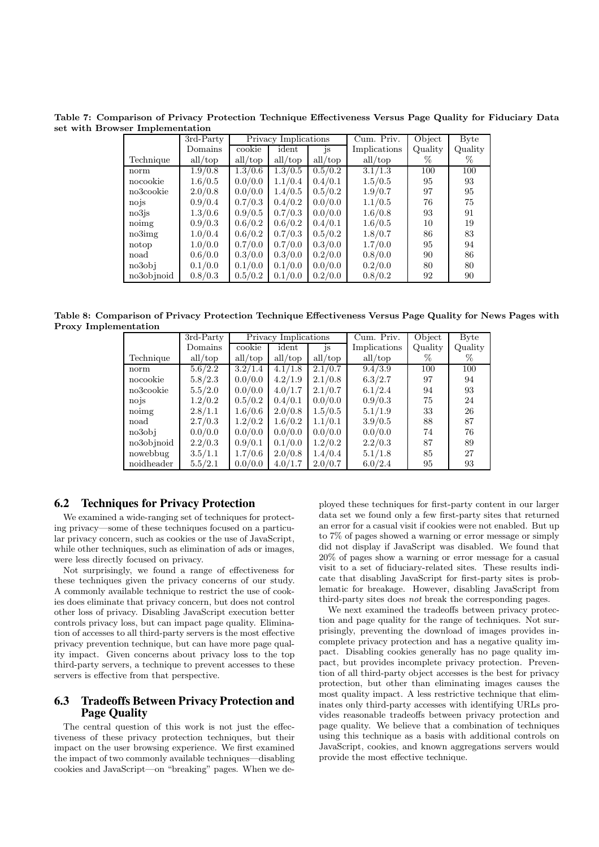Table 7: Comparison of Privacy Protection Technique Effectiveness Versus Page Quality for Fiduciary Data set with Browser Implementation

|            | 3rd-Party |         | Privacy Implications |         | Cum. Priv.   | Object  | $\bar{B}$ yte |
|------------|-----------|---------|----------------------|---------|--------------|---------|---------------|
|            | Domains   | cookie  | ident                | js      | Implications | Quality | Quality       |
| Technique  | all/top   | all/top | all/top              | all/top | all/top      | %       | %             |
| norm       | 1.9/0.8   | 1.3/0.6 | 1.3/0.5              | 0.5/0.2 | 3.1/1.3      | 100     | 100           |
| nocookie   | 1.6/0.5   | 0.0/0.0 | 1.1/0.4              | 0.4/0.1 | 1.5/0.5      | 95      | 93            |
| no3cookie  | 2.0/0.8   | 0.0/0.0 | 1.4/0.5              | 0.5/0.2 | 1.9/0.7      | 97      | 95            |
| nojs       | 0.9/0.4   | 0.7/0.3 | 0.4/0.2              | 0.0/0.0 | 1.1/0.5      | 76      | 75            |
| no3is      | 1.3/0.6   | 0.9/0.5 | 0.7/0.3              | 0.0/0.0 | 1.6/0.8      | 93      | 91            |
| noimg      | 0.9/0.3   | 0.6/0.2 | 0.6/0.2              | 0.4/0.1 | 1.6/0.5      | 10      | 19            |
| no3img     | 1.0/0.4   | 0.6/0.2 | 0.7/0.3              | 0.5/0.2 | 1.8/0.7      | 86      | 83            |
| notop      | 1.0/0.0   | 0.7/0.0 | 0.7/0.0              | 0.3/0.0 | 1.7/0.0      | 95      | 94            |
| noad       | 0.6/0.0   | 0.3/0.0 | 0.3/0.0              | 0.2/0.0 | 0.8/0.0      | 90      | 86            |
| no3obj     | 0.1/0.0   | 0.1/0.0 | 0.1/0.0              | 0.0/0.0 | 0.2/0.0      | 80      | 80            |
| no3objnoid | 0.8/0.3   | 0.5/0.2 | 0.1/0.0              | 0.2/0.0 | 0.8/0.2      | 92      | 90            |

Table 8: Comparison of Privacy Protection Technique Effectiveness Versus Page Quality for News Pages with **Proxy Implementation** 

|            | 3rd-Party |         | Privacy Implications |         | Cum. Priv.   | Object  | <b>Byte</b> |
|------------|-----------|---------|----------------------|---------|--------------|---------|-------------|
|            | Domains   | cookie  | ident                | js.     | Implications | Quality | Quality     |
| Technique  | all/top   | all/top | all/top              | all/top | all/top      | %       | %           |
| norm       | 5.6/2.2   | 3.2/1.4 | 4.1/1.8              | 2.1/0.7 | 9.4/3.9      | 100     | 100         |
| nocookie   | 5.8/2.3   | 0.0/0.0 | 4.2/1.9              | 2.1/0.8 | 6.3/2.7      | 97      | 94          |
| no3cookie  | 5.5/2.0   | 0.0/0.0 | 4.0/1.7              | 2.1/0.7 | 6.1/2.4      | 94      | 93          |
| nois       | 1.2/0.2   | 0.5/0.2 | 0.4/0.1              | 0.0/0.0 | 0.9/0.3      | 75      | 24          |
| noimg      | 2.8/1.1   | 1.6/0.6 | 2.0/0.8              | 1.5/0.5 | 5.1/1.9      | 33      | 26          |
| noad       | 2.7/0.3   | 1.2/0.2 | 1.6/0.2              | 1.1/0.1 | 3.9/0.5      | 88      | 87          |
| no3obj     | 0.0/0.0   | 0.0/0.0 | 0.0/0.0              | 0.0/0.0 | 0.0/0.0      | 74      | 76          |
| no3objnoid | 2.2/0.3   | 0.9/0.1 | 0.1/0.0              | 1.2/0.2 | 2.2/0.3      | 87      | 89          |
| nowebbug   | 3.5/1.1   | 1.7/0.6 | 2.0/0.8              | 1.4/0.4 | 5.1/1.8      | 85      | 27          |
| noidheader | 5.5/2.1   | 0.0/0.0 | 4.0/1.7              | 2.0/0.7 | 6.0/2.4      | 95      | 93          |

#### **6.2 Techniques for Privacy Protection**

We examined a wide-ranging set of techniques for protecting privacy—some of these techniques focused on a particular privacy concern, such as cookies or the use of JavaScript, while other techniques, such as elimination of ads or images, were less directly focused on privacy.

Not surprisingly, we found a range of effectiveness for these techniques given the privacy concerns of our study. A commonly available technique to restrict the use of cookies does eliminate that privacy concern, but does not control other loss of privacy. Disabling JavaScript execution better controls privacy loss, but can impact page quality. Elimination of accesses to all third-party servers is the most effective privacy prevention technique, but can have more page quality impact. Given concerns about privacy loss to the top third-party servers, a technique to prevent accesses to these servers is effective from that perspective.

#### 6.3 **Tradeoffs Between Privacy Protection and Page Ouality**

The central question of this work is not just the effectiveness of these privacy protection techniques, but their impact on the user browsing experience. We first examined the impact of two commonly available techniques—disabling cookies and JavaScript—on "breaking" pages. When we deployed these techniques for first-party content in our larger data set we found only a few first-party sites that returned an error for a casual visit if cookies were not enabled. But up to 7% of pages showed a warning or error message or simply did not display if JavaScript was disabled. We found that 20% of pages show a warning or error message for a casual visit to a set of fiduciary-related sites. These results indicate that disabling JavaScript for first-party sites is problematic for breakage. However, disabling JavaScript from third-party sites does not break the corresponding pages.

We next examined the tradeoffs between privacy protection and page quality for the range of techniques. Not surprisingly, preventing the download of images provides incomplete privacy protection and has a negative quality impact. Disabling cookies generally has no page quality impact, but provides incomplete privacy protection. Prevention of all third-party object accesses is the best for privacy protection, but other than eliminating images causes the most quality impact. A less restrictive technique that eliminates only third-party accesses with identifying URLs provides reasonable tradeoffs between privacy protection and page quality. We believe that a combination of techniques using this technique as a basis with additional controls on JavaScript, cookies, and known aggregations servers would provide the most effective technique.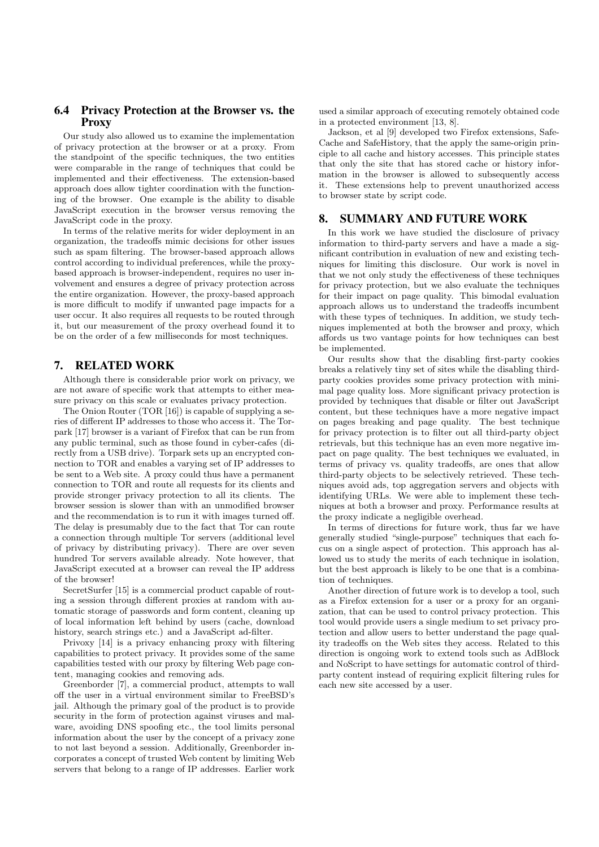#### **6.4 Privacy Protection at the Browser vs. the Proxy**

Our study also allowed us to examine the implementation of privacy protection at the browser or at a proxy. From the standpoint of the specific techniques, the two entities were comparable in the range of techniques that could be implemented and their effectiveness. The extension-based approach does allow tighter coordination with the functioning of the browser. One example is the ability to disable JavaScript execution in the browser versus removing the JavaScript code in the proxy.

In terms of the relative merits for wider deployment in an organization, the tradeoffs mimic decisions for other issues such as spam filtering. The browser-based approach allows control according to individual preferences, while the proxybased approach is browser-independent, requires no user involvement and ensures a degree of privacy protection across the entire organization. However, the proxy-based approach is more difficult to modify if unwanted page impacts for a user occur. It also requires all requests to be routed through it, but our measurement of the proxy overhead found it to be on the order of a few milliseconds for most techniques.

#### **7. RELATED WORK**

Although there is considerable prior work on privacy, we are not aware of specific work that attempts to either measure privacy on this scale or evaluates privacy protection.

The Onion Router (TOR [16]) is capable of supplying a series of different IP addresses to those who access it. The Torpark [17] browser is a variant of Firefox that can be run from any public terminal, such as those found in cyber-cafes (directly from a USB drive). Torpark sets up an encrypted connection to TOR and enables a varying set of IP addresses to be sent to a Web site. A proxy could thus have a permanent connection to TOR and route all requests for its clients and provide stronger privacy protection to all its clients. The browser session is slower than with an unmodified browser and the recommendation is to run it with images turned off. The delay is presumably due to the fact that Tor can route a connection through multiple Tor servers (additional level of privacy by distributing privacy). There are over seven hundred Tor servers available already. Note however, that JavaScript executed at a browser can reveal the IP address of the browser!

SecretSurfer [15] is a commercial product capable of routing a session through different proxies at random with automatic storage of passwords and form content, cleaning up of local information left behind by users (cache, download history, search strings etc.) and a JavaScript ad-filter.

Privoxy [14] is a privacy enhancing proxy with filtering capabilities to protect privacy. It provides some of the same capabilities tested with our proxy by filtering Web page content, managing cookies and removing ads.

Greenborder [7], a commercial product, attempts to wall off the user in a virtual environment similar to FreeBSD's jail. Although the primary goal of the product is to provide security in the form of protection against viruses and malware, avoiding DNS spoofing etc., the tool limits personal information about the user by the concept of a privacy zone to not last beyond a session. Additionally, Greenborder incorporates a concept of trusted Web content by limiting Web servers that belong to a range of IP addresses. Earlier work

used a similar approach of executing remotely obtained code in a protected environment [13, 8].

Jackson, et al [9] developed two Firefox extensions, Safe-Cache and SafeHistory, that the apply the same-origin principle to all cache and history accesses. This principle states that only the site that has stored cache or history information in the browser is allowed to subsequently access it. These extensions help to prevent unauthorized access to browser state by script code.

#### **8. SUMMARY AND FUTURE WORK**

In this work we have studied the disclosure of privacy information to third-party servers and have a made a significant contribution in evaluation of new and existing techniques for limiting this disclosure. Our work is novel in that we not only study the effectiveness of these techniques for privacy protection, but we also evaluate the techniques for their impact on page quality. This bimodal evaluation approach allows us to understand the tradeoffs incumbent with these types of techniques. In addition, we study techniques implemented at both the browser and proxy, which affords us two vantage points for how techniques can best be implemented.

Our results show that the disabling first-party cookies breaks a relatively tiny set of sites while the disabling thirdparty cookies provides some privacy protection with minimal page quality loss. More significant privacy protection is provided by techniques that disable or filter out JavaScript content, but these techniques have a more negative impact on pages breaking and page quality. The best technique for privacy protection is to filter out all third-party object retrievals, but this technique has an even more negative impact on page quality. The best techniques we evaluated, in terms of privacy vs. quality tradeoffs, are ones that allow third-party objects to be selectively retrieved. These techniques avoid ads, top aggregation servers and objects with identifying URLs. We were able to implement these techniques at both a browser and proxy. Performance results at the proxy indicate a negligible overhead.

In terms of directions for future work, thus far we have generally studied "single-purpose" techniques that each focus on a single aspect of protection. This approach has allowed us to study the merits of each technique in isolation, but the best approach is likely to be one that is a combination of techniques.

Another direction of future work is to develop a tool, such as a Firefox extension for a user or a proxy for an organization, that can be used to control privacy protection. This tool would provide users a single medium to set privacy protection and allow users to better understand the page quality tradeoffs on the Web sites they access. Related to this direction is ongoing work to extend tools such as AdBlock and NoScript to have settings for automatic control of thirdparty content instead of requiring explicit filtering rules for each new site accessed by a user.